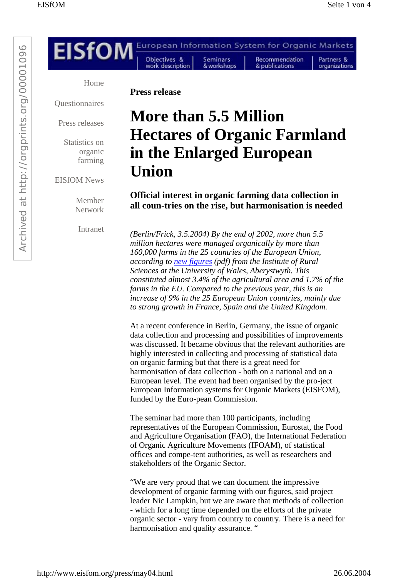

*according to new figures (pdf) from the Institute of Rural Sciences at the University of Wales, Aberystwyth. This constituted almost 3.4% of the agricultural area and 1.7% of the farms in the EU. Compared to the previous year, this is an increase of 9% in the 25 European Union countries, mainly due to strong growth in France, Spain and the United Kingdom.*

At a recent conference in Berlin, Germany, the issue of organic data collection and processing and possibilities of improvements was discussed. It became obvious that the relevant authorities are highly interested in collecting and processing of statistical data on organic farming but that there is a great need for harmonisation of data collection - both on a national and on a European level. The event had been organised by the pro-ject European Information systems for Organic Markets (EISFOM), funded by the Euro-pean Commission.

The seminar had more than 100 participants, including representatives of the European Commission, Eurostat, the Food and Agriculture Organisation (FAO), the International Federation of Organic Agriculture Movements (IFOAM), of statistical offices and compe-tent authorities, as well as researchers and stakeholders of the Organic Sector.

"We are very proud that we can document the impressive development of organic farming with our figures, said project leader Nic Lampkin, but we are aware that methods of collection - which for a long time depended on the efforts of the private organic sector - vary from country to country. There is a need for harmonisation and quality assurance. "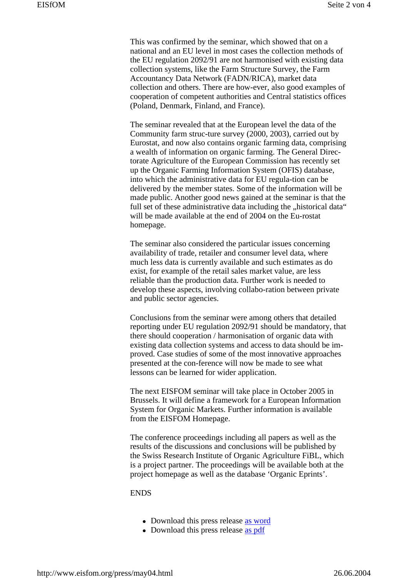This was confirmed by the seminar, which showed that on a national and an EU level in most cases the collection methods of the EU regulation 2092/91 are not harmonised with existing data collection systems, like the Farm Structure Survey, the Farm Accountancy Data Network (FADN/RICA), market data collection and others. There are how-ever, also good examples of cooperation of competent authorities and Central statistics offices (Poland, Denmark, Finland, and France).

The seminar revealed that at the European level the data of the Community farm struc-ture survey (2000, 2003), carried out by Eurostat, and now also contains organic farming data, comprising a wealth of information on organic farming. The General Directorate Agriculture of the European Commission has recently set up the Organic Farming Information System (OFIS) database, into which the administrative data for EU regula-tion can be delivered by the member states. Some of the information will be made public. Another good news gained at the seminar is that the full set of these administrative data including the "historical data" will be made available at the end of 2004 on the Eu-rostat homepage.

The seminar also considered the particular issues concerning availability of trade, retailer and consumer level data, where much less data is currently available and such estimates as do exist, for example of the retail sales market value, are less reliable than the production data. Further work is needed to develop these aspects, involving collabo-ration between private and public sector agencies.

Conclusions from the seminar were among others that detailed reporting under EU regulation 2092/91 should be mandatory, that there should cooperation / harmonisation of organic data with existing data collection systems and access to data should be improved. Case studies of some of the most innovative approaches presented at the con-ference will now be made to see what lessons can be learned for wider application.

The next EISFOM seminar will take place in October 2005 in Brussels. It will define a framework for a European Information System for Organic Markets. Further information is available from the EISFOM Homepage.

The conference proceedings including all papers as well as the results of the discussions and conclusions will be published by the Swiss Research Institute of Organic Agriculture FiBL, which is a project partner. The proceedings will be available both at the project homepage as well as the database 'Organic Eprints'.

#### **ENDS**

- Download this press release as word
- Download this press release as pdf